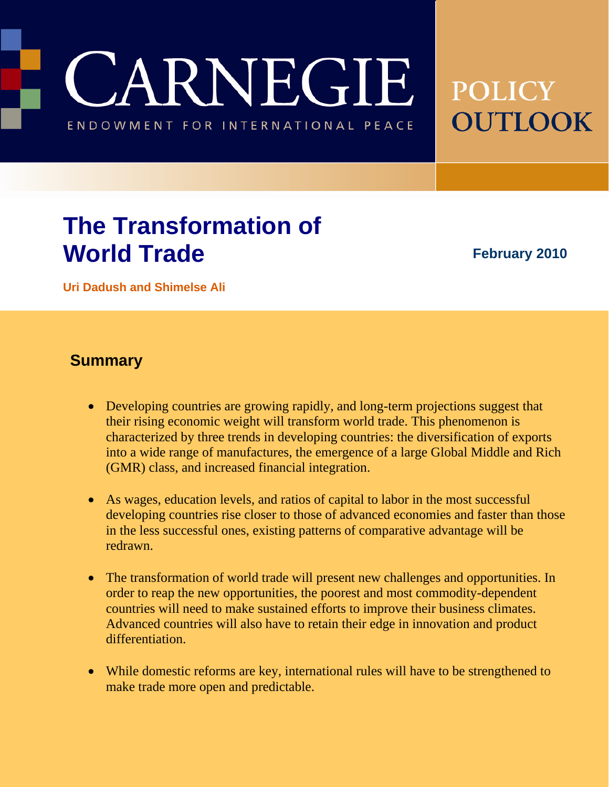CARNEGIE ENDOWMENT FOR INTERNATIONAL PEACE

# **POLICY OUTLOOK**

# **The Transformation of World Trade**

**February 2010** 

**Uri Dadush and Shimelse Ali**

### **Summary**

- Developing countries are growing rapidly, and long-term projections suggest that their rising economic weight will transform world trade. This phenomenon is characterized by three trends in developing countries: the diversification of exports into a wide range of manufactures, the emergence of a large Global Middle and Rich (GMR) class, and increased financial integration.
- As wages, education levels, and ratios of capital to labor in the most successful developing countries rise closer to those of advanced economies and faster than those in the less successful ones, existing patterns of comparative advantage will be redrawn.
- The transformation of world trade will present new challenges and opportunities. In order to reap the new opportunities, the poorest and most commodity-dependent countries will need to make sustained efforts to improve their business climates. Advanced countries will also have to retain their edge in innovation and product differentiation.
- While domestic reforms are key, international rules will have to be strengthened to make trade more open and predictable.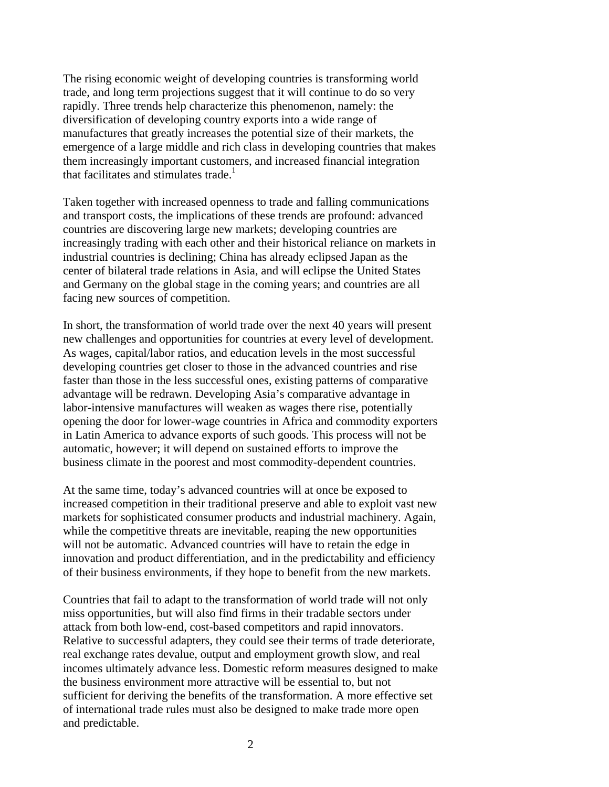The rising economic weight of developing countries is transforming world trade, and long term projections suggest that it will continue to do so very rapidly. Three trends help characterize this phenomenon, namely: the diversification of developing country exports into a wide range of manufactures that greatly increases the potential size of their markets, the emergence of a large middle and rich class in developing countries that makes them increasingly important customers, and increased financial integration that facilitates and stimulates trade.<sup>1</sup>

Taken together with increased openness to trade and falling communications and transport costs, the implications of these trends are profound: advanced countries are discovering large new markets; developing countries are increasingly trading with each other and their historical reliance on markets in industrial countries is declining; China has already eclipsed Japan as the center of bilateral trade relations in Asia, and will eclipse the United States and Germany on the global stage in the coming years; and countries are all facing new sources of competition.

In short, the transformation of world trade over the next 40 years will present new challenges and opportunities for countries at every level of development. As wages, capital/labor ratios, and education levels in the most successful developing countries get closer to those in the advanced countries and rise faster than those in the less successful ones, existing patterns of comparative advantage will be redrawn. Developing Asia's comparative advantage in labor-intensive manufactures will weaken as wages there rise, potentially opening the door for lower-wage countries in Africa and commodity exporters in Latin America to advance exports of such goods. This process will not be automatic, however; it will depend on sustained efforts to improve the business climate in the poorest and most commodity-dependent countries.

At the same time, today's advanced countries will at once be exposed to increased competition in their traditional preserve and able to exploit vast new markets for sophisticated consumer products and industrial machinery. Again, while the competitive threats are inevitable, reaping the new opportunities will not be automatic. Advanced countries will have to retain the edge in innovation and product differentiation, and in the predictability and efficiency of their business environments, if they hope to benefit from the new markets.

Countries that fail to adapt to the transformation of world trade will not only miss opportunities, but will also find firms in their tradable sectors under attack from both low-end, cost-based competitors and rapid innovators. Relative to successful adapters, they could see their terms of trade deteriorate, real exchange rates devalue, output and employment growth slow, and real incomes ultimately advance less. Domestic reform measures designed to make the business environment more attractive will be essential to, but not sufficient for deriving the benefits of the transformation. A more effective set of international trade rules must also be designed to make trade more open and predictable.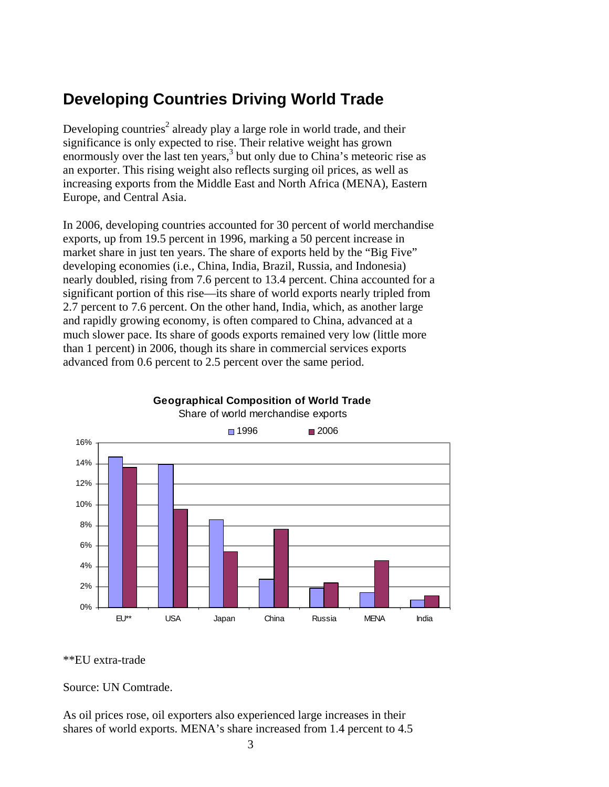# **Developing Countries Driving World Trade**

Developing countries<sup>2</sup> already play a large role in world trade, and their significance is only expected to rise. Their relative weight has grown enormously over the last ten years, $3$  but only due to China's meteoric rise as an exporter. This rising weight also reflects surging oil prices, as well as increasing exports from the Middle East and North Africa (MENA), Eastern Europe, and Central Asia.

In 2006, developing countries accounted for 30 percent of world merchandise exports, up from 19.5 percent in 1996, marking a 50 percent increase in market share in just ten years. The share of exports held by the "Big Five" developing economies (i.e., China, India, Brazil, Russia, and Indonesia) nearly doubled, rising from 7.6 percent to 13.4 percent. China accounted for a significant portion of this rise—its share of world exports nearly tripled from 2.7 percent to 7.6 percent. On the other hand, India, which, as another large and rapidly growing economy, is often compared to China, advanced at a much slower pace. Its share of goods exports remained very low (little more than 1 percent) in 2006, though its share in commercial services exports advanced from 0.6 percent to 2.5 percent over the same period.



### **Geographical Composition of World Trade**

\*\*EU extra-trade

Source: UN Comtrade.

As oil prices rose, oil exporters also experienced large increases in their shares of world exports. MENA's share increased from 1.4 percent to 4.5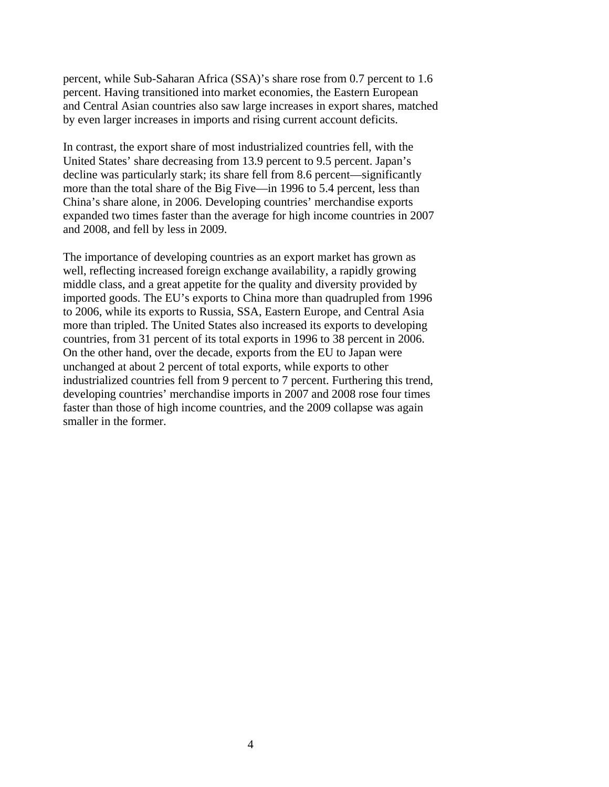percent, while Sub-Saharan Africa (SSA)'s share rose from 0.7 percent to 1.6 percent. Having transitioned into market economies, the Eastern European and Central Asian countries also saw large increases in export shares, matched by even larger increases in imports and rising current account deficits.

In contrast, the export share of most industrialized countries fell, with the United States' share decreasing from 13.9 percent to 9.5 percent. Japan's decline was particularly stark; its share fell from 8.6 percent—significantly more than the total share of the Big Five—in 1996 to 5.4 percent, less than China's share alone, in 2006. Developing countries' merchandise exports expanded two times faster than the average for high income countries in 2007 and 2008, and fell by less in 2009.

The importance of developing countries as an export market has grown as well, reflecting increased foreign exchange availability, a rapidly growing middle class, and a great appetite for the quality and diversity provided by imported goods. The EU's exports to China more than quadrupled from 1996 to 2006, while its exports to Russia, SSA, Eastern Europe, and Central Asia more than tripled. The United States also increased its exports to developing countries, from 31 percent of its total exports in 1996 to 38 percent in 2006. On the other hand, over the decade, exports from the EU to Japan were unchanged at about 2 percent of total exports, while exports to other industrialized countries fell from 9 percent to 7 percent. Furthering this trend, developing countries' merchandise imports in 2007 and 2008 rose four times faster than those of high income countries, and the 2009 collapse was again smaller in the former.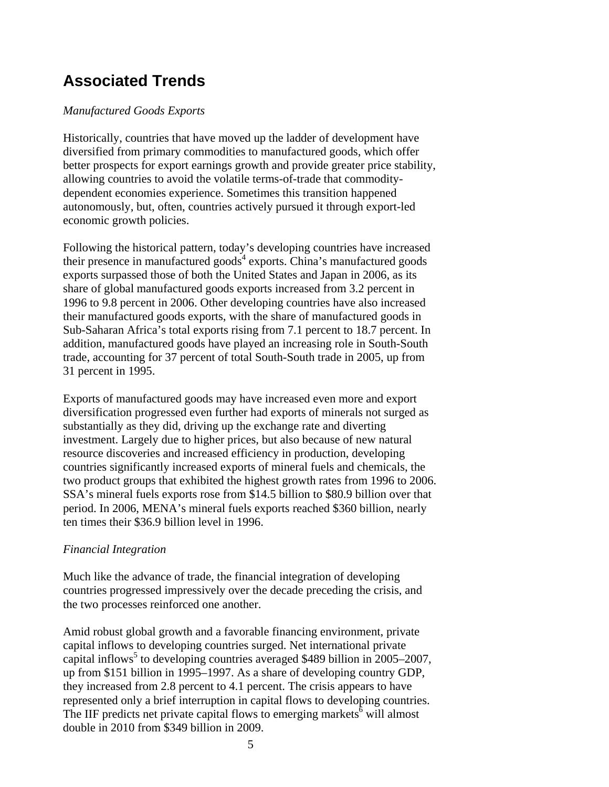# **Associated Trends**

#### *Manufactured Goods Exports*

Historically, countries that have moved up the ladder of development have diversified from primary commodities to manufactured goods, which offer better prospects for export earnings growth and provide greater price stability, allowing countries to avoid the volatile terms-of-trade that commoditydependent economies experience. Sometimes this transition happened autonomously, but, often, countries actively pursued it through export-led economic growth policies.

Following the historical pattern, today's developing countries have increased their presence in manufactured goods<sup>4</sup> exports. China's manufactured goods exports surpassed those of both the United States and Japan in 2006, as its share of global manufactured goods exports increased from 3.2 percent in 1996 to 9.8 percent in 2006. Other developing countries have also increased their manufactured goods exports, with the share of manufactured goods in Sub-Saharan Africa's total exports rising from 7.1 percent to 18.7 percent. In addition, manufactured goods have played an increasing role in South-South trade, accounting for 37 percent of total South-South trade in 2005, up from 31 percent in 1995.

Exports of manufactured goods may have increased even more and export diversification progressed even further had exports of minerals not surged as substantially as they did, driving up the exchange rate and diverting investment. Largely due to higher prices, but also because of new natural resource discoveries and increased efficiency in production, developing countries significantly increased exports of mineral fuels and chemicals, the two product groups that exhibited the highest growth rates from 1996 to 2006. SSA's mineral fuels exports rose from \$14.5 billion to \$80.9 billion over that period. In 2006, MENA's mineral fuels exports reached \$360 billion, nearly ten times their \$36.9 billion level in 1996.

#### *Financial Integration*

Much like the advance of trade, the financial integration of developing countries progressed impressively over the decade preceding the crisis, and the two processes reinforced one another.

Amid robust global growth and a favorable financing environment, private capital inflows to developing countries surged. Net international private capital inflows<sup>5</sup> to developing countries averaged \$489 billion in 2005–2007, up from \$151 billion in 1995–1997. As a share of developing country GDP, they increased from 2.8 percent to 4.1 percent. The crisis appears to have represented only a brief interruption in capital flows to developing countries. The IIF predicts net private capital flows to emerging markets<sup> $6$ </sup> will almost double in 2010 from \$349 billion in 2009.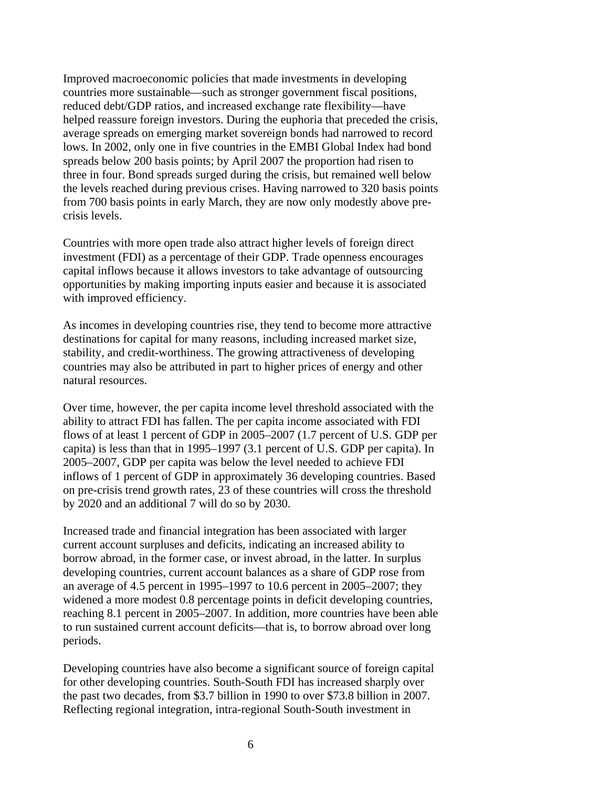Improved macroeconomic policies that made investments in developing countries more sustainable—such as stronger government fiscal positions, reduced debt/GDP ratios, and increased exchange rate flexibility—have helped reassure foreign investors. During the euphoria that preceded the crisis, average spreads on emerging market sovereign bonds had narrowed to record lows. In 2002, only one in five countries in the EMBI Global Index had bond spreads below 200 basis points; by April 2007 the proportion had risen to three in four. Bond spreads surged during the crisis, but remained well below the levels reached during previous crises. Having narrowed to 320 basis points from 700 basis points in early March, they are now only modestly above precrisis levels.

Countries with more open trade also attract higher levels of foreign direct investment (FDI) as a percentage of their GDP. Trade openness encourages capital inflows because it allows investors to take advantage of outsourcing opportunities by making importing inputs easier and because it is associated with improved efficiency.

As incomes in developing countries rise, they tend to become more attractive destinations for capital for many reasons, including increased market size, stability, and credit-worthiness. The growing attractiveness of developing countries may also be attributed in part to higher prices of energy and other natural resources.

Over time, however, the per capita income level threshold associated with the ability to attract FDI has fallen. The per capita income associated with FDI flows of at least 1 percent of GDP in 2005–2007 (1.7 percent of U.S. GDP per capita) is less than that in 1995–1997 (3.1 percent of U.S. GDP per capita). In 2005–2007, GDP per capita was below the level needed to achieve FDI inflows of 1 percent of GDP in approximately 36 developing countries. Based on pre-crisis trend growth rates, 23 of these countries will cross the threshold by 2020 and an additional 7 will do so by 2030.

Increased trade and financial integration has been associated with larger current account surpluses and deficits, indicating an increased ability to borrow abroad, in the former case, or invest abroad, in the latter. In surplus developing countries, current account balances as a share of GDP rose from an average of 4.5 percent in 1995–1997 to 10.6 percent in 2005–2007; they widened a more modest 0.8 percentage points in deficit developing countries, reaching 8.1 percent in 2005–2007. In addition, more countries have been able to run sustained current account deficits—that is, to borrow abroad over long periods.

Developing countries have also become a significant source of foreign capital for other developing countries. South-South FDI has increased sharply over the past two decades, from \$3.7 billion in 1990 to over \$73.8 billion in 2007. Reflecting regional integration, intra-regional South-South investment in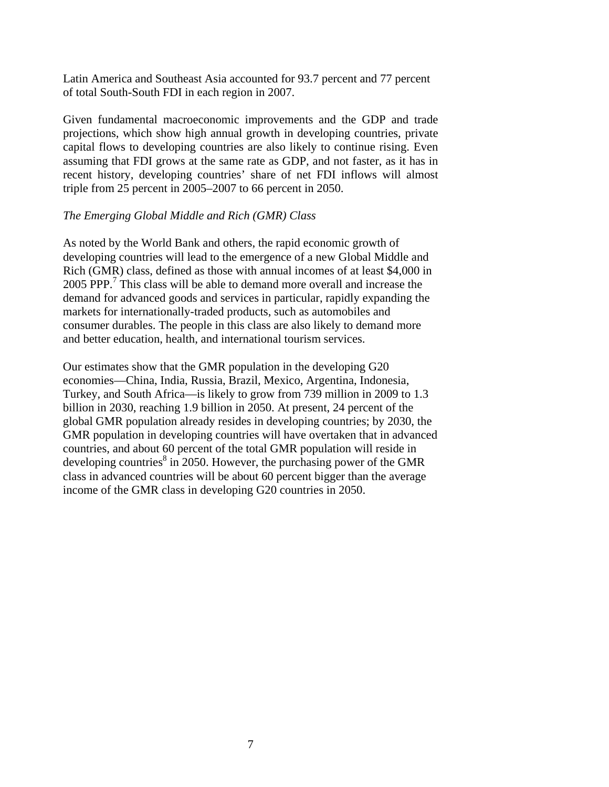Latin America and Southeast Asia accounted for 93.7 percent and 77 percent of total South-South FDI in each region in 2007.

Given fundamental macroeconomic improvements and the GDP and trade projections, which show high annual growth in developing countries, private capital flows to developing countries are also likely to continue rising. Even assuming that FDI grows at the same rate as GDP, and not faster, as it has in recent history, developing countries' share of net FDI inflows will almost triple from 25 percent in 2005–2007 to 66 percent in 2050.

#### *The Emerging Global Middle and Rich (GMR) Class*

As noted by the World Bank and others, the rapid economic growth of developing countries will lead to the emergence of a new Global Middle and Rich (GMR) class, defined as those with annual incomes of at least \$4,000 in 2005 PPP.<sup>7</sup> This class will be able to demand more overall and increase the demand for advanced goods and services in particular, rapidly expanding the markets for internationally-traded products, such as automobiles and consumer durables. The people in this class are also likely to demand more and better education, health, and international tourism services.

Our estimates show that the GMR population in the developing G20 economies—China, India, Russia, Brazil, Mexico, Argentina, Indonesia, Turkey, and South Africa—is likely to grow from 739 million in 2009 to 1.3 billion in 2030, reaching 1.9 billion in 2050. At present, 24 percent of the global GMR population already resides in developing countries; by 2030, the GMR population in developing countries will have overtaken that in advanced countries, and about 60 percent of the total GMR population will reside in developing countries<sup>8</sup> in 2050. However, the purchasing power of the GMR class in advanced countries will be about 60 percent bigger than the average income of the GMR class in developing G20 countries in 2050.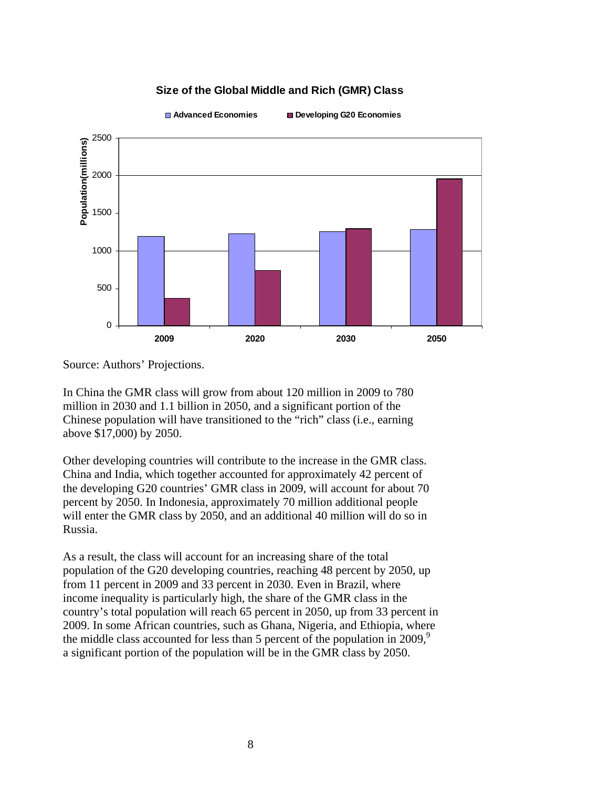#### **Size of the Global Middle and Rich (GMR) Class**



**Advanced Economies Developing G20 Economies**

Source: Authors' Projections.

In China the GMR class will grow from about 120 million in 2009 to 780 million in 2030 and 1.1 billion in 2050, and a significant portion of the Chinese population will have transitioned to the "rich" class (i.e., earning above \$17,000) by 2050.

Other developing countries will contribute to the increase in the GMR class. China and India, which together accounted for approximately 42 percent of the developing G20 countries' GMR class in 2009, will account for about 70 percent by 2050. In Indonesia, approximately 70 million additional people will enter the GMR class by 2050, and an additional 40 million will do so in Russia.

As a result, the class will account for an increasing share of the total population of the G20 developing countries, reaching 48 percent by 2050, up from 11 percent in 2009 and 33 percent in 2030. Even in Brazil, where income inequality is particularly high, the share of the GMR class in the country's total population will reach 65 percent in 2050, up from 33 percent in 2009. In some African countries, such as Ghana, Nigeria, and Ethiopia, where the middle class accounted for less than 5 percent of the population in 2009,<sup>9</sup> a significant portion of the population will be in the GMR class by 2050.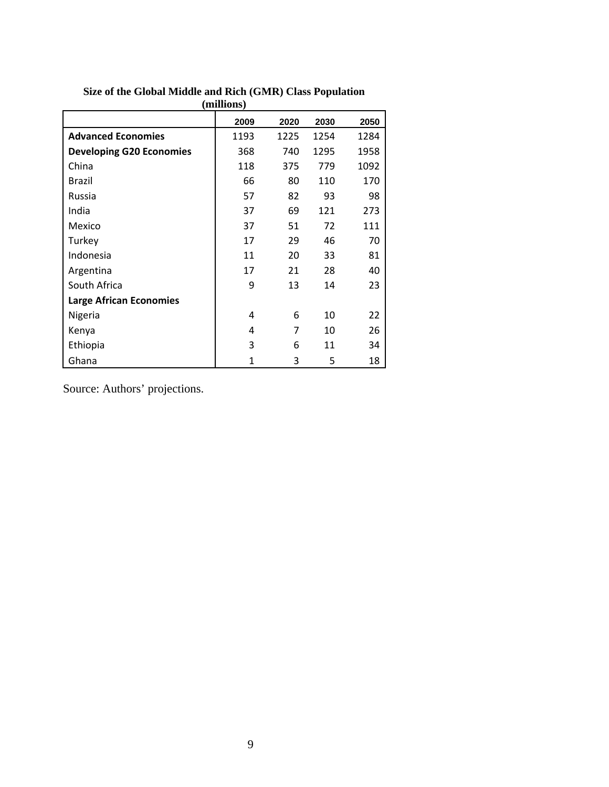| (millions)                      |      |      |      |      |  |
|---------------------------------|------|------|------|------|--|
|                                 | 2009 | 2020 | 2030 | 2050 |  |
| <b>Advanced Economies</b>       | 1193 | 1225 | 1254 | 1284 |  |
| <b>Developing G20 Economies</b> | 368  | 740  | 1295 | 1958 |  |
| China                           | 118  | 375  | 779  | 1092 |  |
| Brazil                          | 66   | 80   | 110  | 170  |  |
| Russia                          | 57   | 82   | 93   | 98   |  |
| India                           | 37   | 69   | 121  | 273  |  |
| Mexico                          | 37   | 51   | 72   | 111  |  |
| Turkey                          | 17   | 29   | 46   | 70   |  |
| Indonesia                       | 11   | 20   | 33   | 81   |  |
| Argentina                       | 17   | 21   | 28   | 40   |  |
| South Africa                    | 9    | 13   | 14   | 23   |  |
| <b>Large African Economies</b>  |      |      |      |      |  |
| Nigeria                         | 4    | 6    | 10   | 22   |  |
| Kenya                           | 4    | 7    | 10   | 26   |  |
| Ethiopia                        | 3    | 6    | 11   | 34   |  |
| Ghana                           | 1    | 3    | 5    | 18   |  |

#### **Size of the Global Middle and Rich (GMR) Class Population (millions)**

Source: Authors' projections.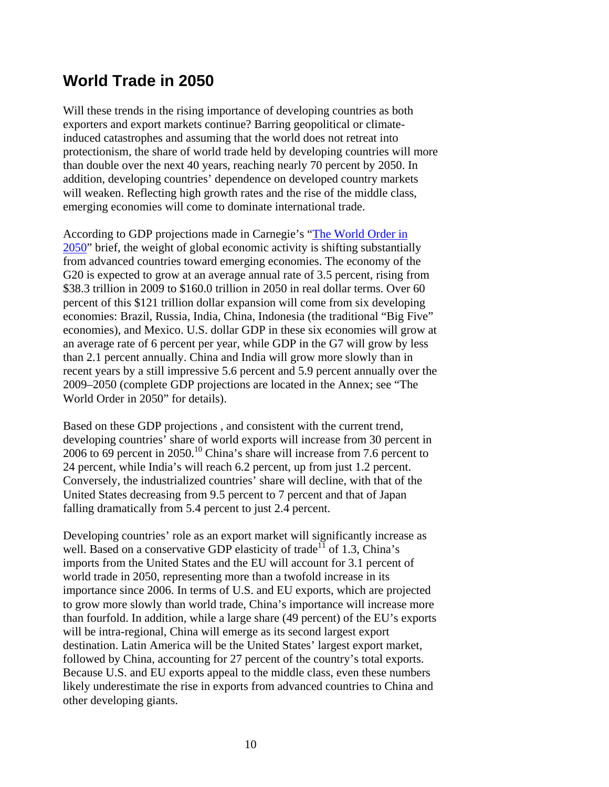### **World Trade in 2050**

Will these trends in the rising importance of developing countries as both exporters and export markets continue? Barring geopolitical or climateinduced catastrophes and assuming that the world does not retreat into protectionism, the share of world trade held by developing countries will more than double over the next 40 years, reaching nearly 70 percent by 2050. In addition, developing countries' dependence on developed country markets will weaken. Reflecting high growth rates and the rise of the middle class, emerging economies will come to dominate international trade.

According to GDP projections made in Carnegie's "The World Order in 2050" brief, the weight of global economic activity is shifting substantially from advanced countries toward emerging economies. The economy of the G20 is expected to grow at an average annual rate of 3.5 percent, rising from \$38.3 trillion in 2009 to \$160.0 trillion in 2050 in real dollar terms. Over 60 percent of this \$121 trillion dollar expansion will come from six developing economies: Brazil, Russia, India, China, Indonesia (the traditional "Big Five" economies), and Mexico. U.S. dollar GDP in these six economies will grow at an average rate of 6 percent per year, while GDP in the G7 will grow by less than 2.1 percent annually. China and India will grow more slowly than in recent years by a still impressive 5.6 percent and 5.9 percent annually over the 2009–2050 (complete GDP projections are located in the Annex; see "The World Order in 2050" for details).

Based on these GDP projections , and consistent with the current trend, developing countries' share of world exports will increase from 30 percent in 2006 to 69 percent in 2050.<sup>10</sup> China's share will increase from 7.6 percent to 24 percent, while India's will reach 6.2 percent, up from just 1.2 percent. Conversely, the industrialized countries' share will decline, with that of the United States decreasing from 9.5 percent to 7 percent and that of Japan falling dramatically from 5.4 percent to just 2.4 percent.

Developing countries' role as an export market will significantly increase as well. Based on a conservative GDP elasticity of trade<sup>11</sup> of 1.3, China's imports from the United States and the EU will account for 3.1 percent of world trade in 2050, representing more than a twofold increase in its importance since 2006. In terms of U.S. and EU exports, which are projected to grow more slowly than world trade, China's importance will increase more than fourfold. In addition, while a large share (49 percent) of the EU's exports will be intra-regional, China will emerge as its second largest export destination. Latin America will be the United States' largest export market, followed by China, accounting for 27 percent of the country's total exports. Because U.S. and EU exports appeal to the middle class, even these numbers likely underestimate the rise in exports from advanced countries to China and other developing giants.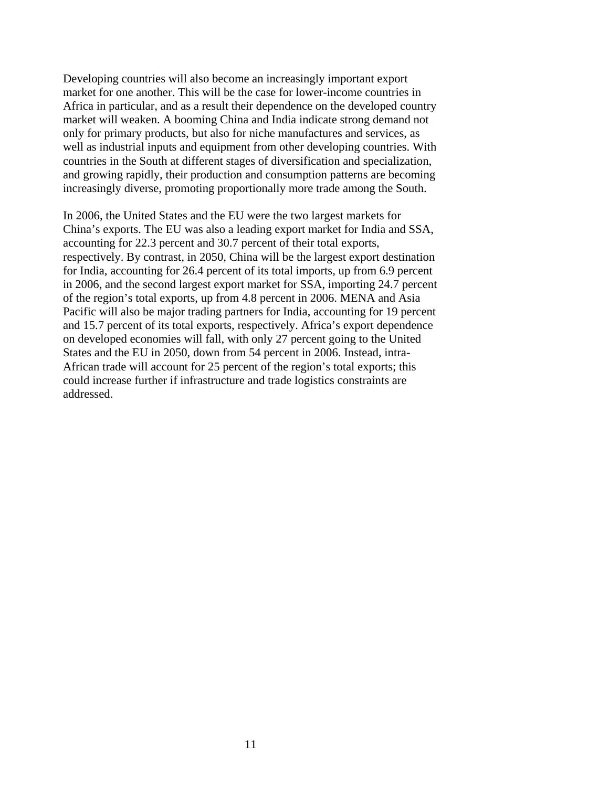Developing countries will also become an increasingly important export market for one another. This will be the case for lower-income countries in Africa in particular, and as a result their dependence on the developed country market will weaken. A booming China and India indicate strong demand not only for primary products, but also for niche manufactures and services, as well as industrial inputs and equipment from other developing countries. With countries in the South at different stages of diversification and specialization, and growing rapidly, their production and consumption patterns are becoming increasingly diverse, promoting proportionally more trade among the South.

In 2006, the United States and the EU were the two largest markets for China's exports. The EU was also a leading export market for India and SSA, accounting for 22.3 percent and 30.7 percent of their total exports, respectively. By contrast, in 2050, China will be the largest export destination for India, accounting for 26.4 percent of its total imports, up from 6.9 percent in 2006, and the second largest export market for SSA, importing 24.7 percent of the region's total exports, up from 4.8 percent in 2006. MENA and Asia Pacific will also be major trading partners for India, accounting for 19 percent and 15.7 percent of its total exports, respectively. Africa's export dependence on developed economies will fall, with only 27 percent going to the United States and the EU in 2050, down from 54 percent in 2006. Instead, intra-African trade will account for 25 percent of the region's total exports; this could increase further if infrastructure and trade logistics constraints are addressed.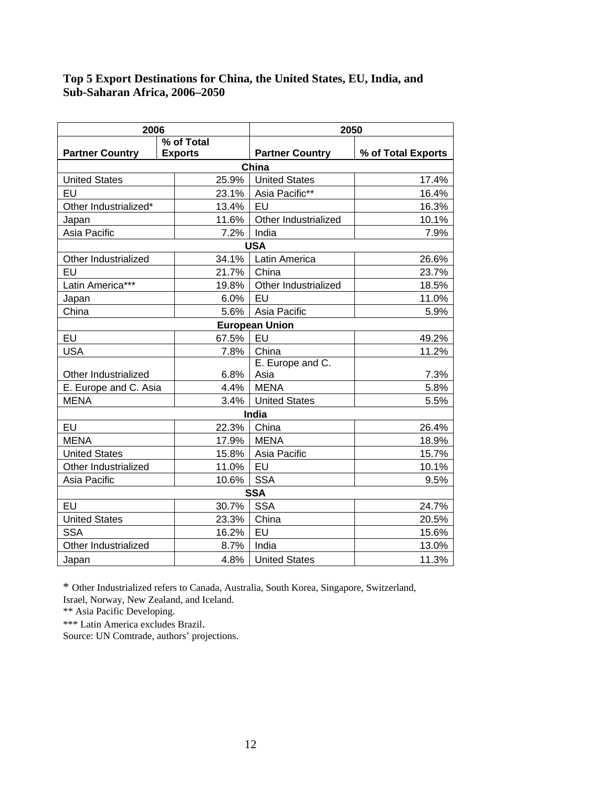#### **Top 5 Export Destinations for China, the United States, EU, India, and Sub-Saharan Africa, 2006–2050**

| 2006                   |             | 2050           |                        |                    |  |
|------------------------|-------------|----------------|------------------------|--------------------|--|
|                        |             | % of Total     |                        |                    |  |
| <b>Partner Country</b> |             | <b>Exports</b> | <b>Partner Country</b> | % of Total Exports |  |
| China                  |             |                |                        |                    |  |
| <b>United States</b>   |             | 25.9%          | <b>United States</b>   | 17.4%              |  |
| EU                     |             | 23.1%          | Asia Pacific**         | 16.4%              |  |
| Other Industrialized*  |             | EU<br>13.4%    |                        | 16.3%              |  |
| Japan                  |             | 11.6%          | Other Industrialized   | 10.1%              |  |
| Asia Pacific           |             | 7.2%           | India                  | 7.9%               |  |
|                        |             |                | <b>USA</b>             |                    |  |
| Other Industrialized   |             | 34.1%          | Latin America          | 26.6%              |  |
| EU                     |             | 21.7%          | China                  | 23.7%              |  |
| Latin America***       |             | 19.8%          | Other Industrialized   | 18.5%              |  |
| Japan                  |             | 6.0%           | EU                     | 11.0%              |  |
| China                  |             | 5.6%           | Asia Pacific           | 5.9%               |  |
|                        |             |                | <b>European Union</b>  |                    |  |
| EU                     |             | 67.5%          | EU                     | 49.2%              |  |
| <b>USA</b>             |             | 7.8%           | China                  | 11.2%              |  |
|                        |             |                | E. Europe and C.       |                    |  |
| Other Industrialized   |             |                | Asia                   | 7.3%               |  |
| E. Europe and C. Asia  |             | 4.4%<br>3.4%   | <b>MENA</b>            | 5.8%               |  |
|                        | <b>MENA</b> |                | <b>United States</b>   | 5.5%               |  |
|                        | India       |                |                        |                    |  |
| EU                     |             | 22.3%          | China                  | 26.4%              |  |
| <b>MENA</b>            |             | 17.9%          | <b>MENA</b>            | 18.9%              |  |
| <b>United States</b>   |             | 15.8%          | Asia Pacific           | 15.7%              |  |
| Other Industrialized   |             | 11.0%          | EU<br>10.1%            |                    |  |
| Asia Pacific           |             | 10.6%          | <b>SSA</b>             | 9.5%               |  |
| <b>SSA</b>             |             |                |                        |                    |  |
| EU                     |             | 30.7%          | <b>SSA</b>             | 24.7%              |  |
| <b>United States</b>   |             | 23.3%          | China                  | 20.5%              |  |
| <b>SSA</b>             |             | 16.2%          | EU<br>15.6%            |                    |  |
| Other Industrialized   |             | 8.7%           | India<br>13.0%         |                    |  |
| Japan                  |             | 4.8%           | <b>United States</b>   | 11.3%              |  |

\* Other Industrialized refers to Canada, Australia, South Korea, Singapore, Switzerland,

Israel, Norway, New Zealand, and Iceland. \*\* Asia Pacific Developing.

\*\*\* Latin America excludes Brazil. Source: UN Comtrade, authors' projections.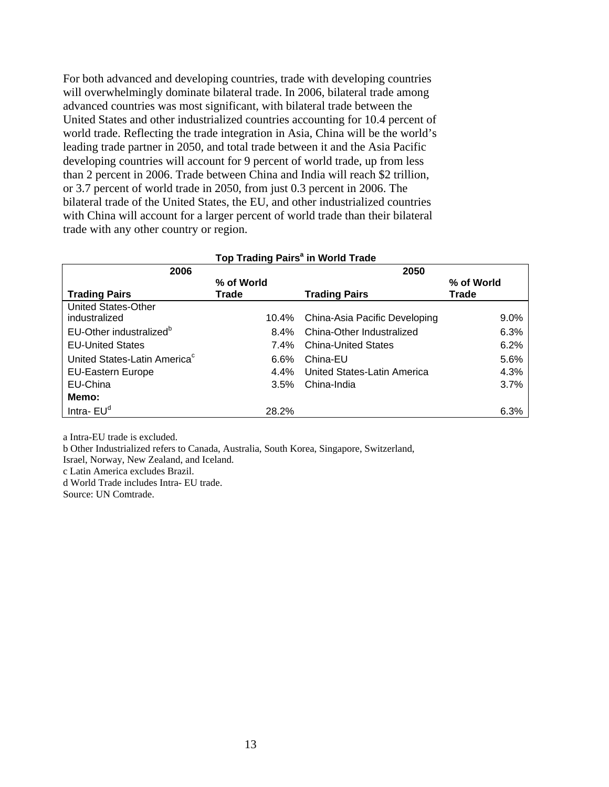For both advanced and developing countries, trade with developing countries will overwhelmingly dominate bilateral trade. In 2006, bilateral trade among advanced countries was most significant, with bilateral trade between the United States and other industrialized countries accounting for 10.4 percent of world trade. Reflecting the trade integration in Asia, China will be the world's leading trade partner in 2050, and total trade between it and the Asia Pacific developing countries will account for 9 percent of world trade, up from less than 2 percent in 2006. Trade between China and India will reach \$2 trillion, or 3.7 percent of world trade in 2050, from just 0.3 percent in 2006. The bilateral trade of the United States, the EU, and other industrialized countries with China will account for a larger percent of world trade than their bilateral trade with any other country or region.

| 2006                                     |            | 2050                          |              |  |
|------------------------------------------|------------|-------------------------------|--------------|--|
|                                          | % of World |                               | % of World   |  |
| <b>Trading Pairs</b>                     | Trade      | <b>Trading Pairs</b>          | <b>Trade</b> |  |
| <b>United States-Other</b>               |            |                               |              |  |
| industralized                            | 10.4%      | China-Asia Pacific Developing | $9.0\%$      |  |
| EU-Other industralized <sup>b</sup>      | $8.4\%$    | China-Other Industralized     | 6.3%         |  |
| <b>EU-United States</b>                  | 7.4%       | <b>China-United States</b>    | 6.2%         |  |
| United States-Latin America <sup>c</sup> | 6.6%       | China-EU                      | 5.6%         |  |
| <b>EU-Eastern Europe</b>                 | $4.4\%$    | United States-Latin America   | 4.3%         |  |
| EU-China                                 | $3.5\%$    | China-India                   | 3.7%         |  |
| Memo:                                    |            |                               |              |  |
| Intra- $EUd$                             | 28.2%      |                               | 6.3%         |  |

#### **Top Trading Pairs<sup>a</sup> in World Trade**

a Intra-EU trade is excluded.

b Other Industrialized refers to Canada, Australia, South Korea, Singapore, Switzerland,

Israel, Norway, New Zealand, and Iceland.

c Latin America excludes Brazil.

d World Trade includes Intra- EU trade.

Source: UN Comtrade.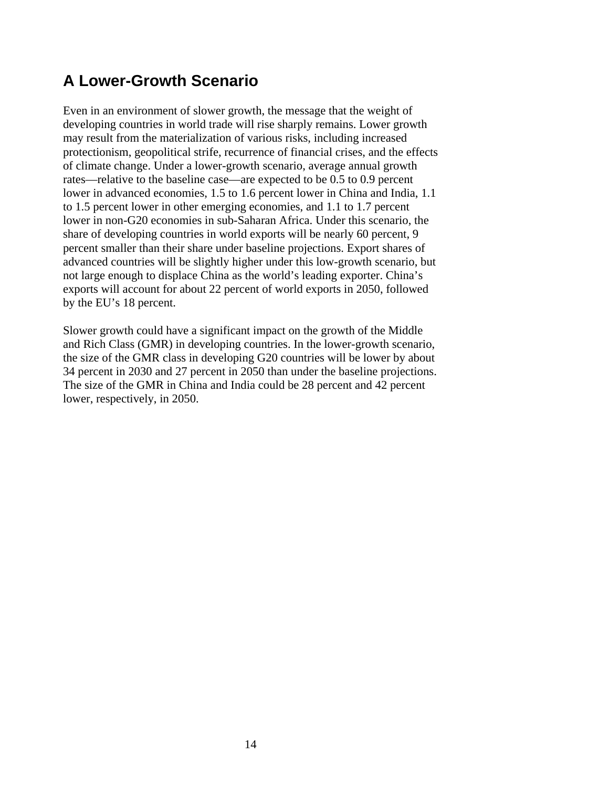# **A Lower-Growth Scenario**

Even in an environment of slower growth, the message that the weight of developing countries in world trade will rise sharply remains. Lower growth may result from the materialization of various risks, including increased protectionism, geopolitical strife, recurrence of financial crises, and the effects of climate change. Under a lower-growth scenario, average annual growth rates—relative to the baseline case—are expected to be 0.5 to 0.9 percent lower in advanced economies, 1.5 to 1.6 percent lower in China and India, 1.1 to 1.5 percent lower in other emerging economies, and 1.1 to 1.7 percent lower in non-G20 economies in sub-Saharan Africa. Under this scenario, the share of developing countries in world exports will be nearly 60 percent, 9 percent smaller than their share under baseline projections. Export shares of advanced countries will be slightly higher under this low-growth scenario, but not large enough to displace China as the world's leading exporter. China's exports will account for about 22 percent of world exports in 2050, followed by the EU's 18 percent.

Slower growth could have a significant impact on the growth of the Middle and Rich Class (GMR) in developing countries. In the lower-growth scenario, the size of the GMR class in developing G20 countries will be lower by about 34 percent in 2030 and 27 percent in 2050 than under the baseline projections. The size of the GMR in China and India could be 28 percent and 42 percent lower, respectively, in 2050.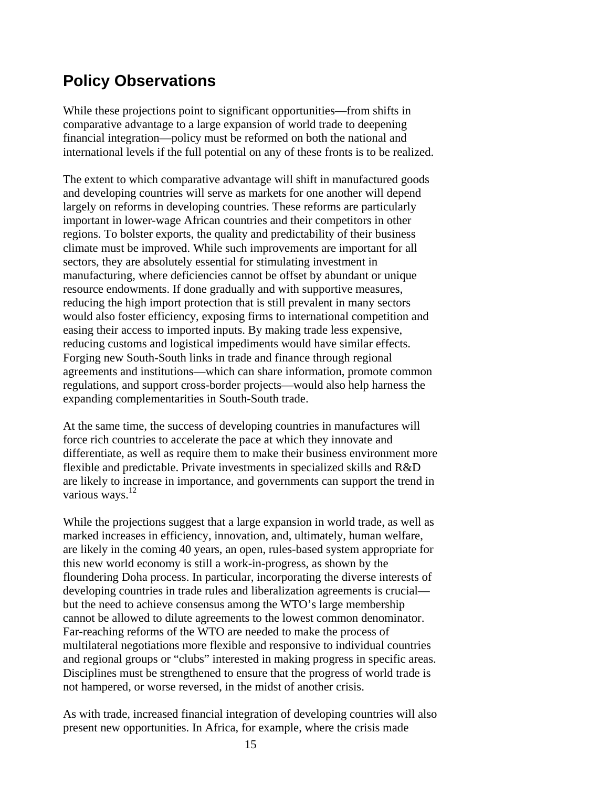## **Policy Observations**

While these projections point to significant opportunities—from shifts in comparative advantage to a large expansion of world trade to deepening financial integration—policy must be reformed on both the national and international levels if the full potential on any of these fronts is to be realized.

The extent to which comparative advantage will shift in manufactured goods and developing countries will serve as markets for one another will depend largely on reforms in developing countries. These reforms are particularly important in lower-wage African countries and their competitors in other regions. To bolster exports, the quality and predictability of their business climate must be improved. While such improvements are important for all sectors, they are absolutely essential for stimulating investment in manufacturing, where deficiencies cannot be offset by abundant or unique resource endowments. If done gradually and with supportive measures, reducing the high import protection that is still prevalent in many sectors would also foster efficiency, exposing firms to international competition and easing their access to imported inputs. By making trade less expensive, reducing customs and logistical impediments would have similar effects. Forging new South-South links in trade and finance through regional agreements and institutions—which can share information, promote common regulations, and support cross-border projects—would also help harness the expanding complementarities in South-South trade.

At the same time, the success of developing countries in manufactures will force rich countries to accelerate the pace at which they innovate and differentiate, as well as require them to make their business environment more flexible and predictable. Private investments in specialized skills and R&D are likely to increase in importance, and governments can support the trend in various ways. $^{12}$ 

While the projections suggest that a large expansion in world trade, as well as marked increases in efficiency, innovation, and, ultimately, human welfare, are likely in the coming 40 years, an open, rules-based system appropriate for this new world economy is still a work-in-progress, as shown by the floundering Doha process. In particular, incorporating the diverse interests of developing countries in trade rules and liberalization agreements is crucial but the need to achieve consensus among the WTO's large membership cannot be allowed to dilute agreements to the lowest common denominator. Far-reaching reforms of the WTO are needed to make the process of multilateral negotiations more flexible and responsive to individual countries and regional groups or "clubs" interested in making progress in specific areas. Disciplines must be strengthened to ensure that the progress of world trade is not hampered, or worse reversed, in the midst of another crisis.

As with trade, increased financial integration of developing countries will also present new opportunities. In Africa, for example, where the crisis made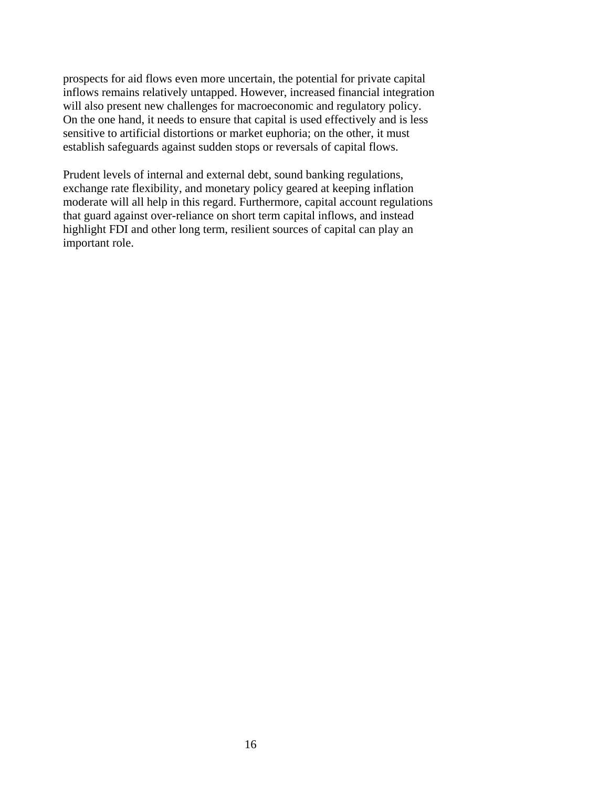prospects for aid flows even more uncertain, the potential for private capital inflows remains relatively untapped. However, increased financial integration will also present new challenges for macroeconomic and regulatory policy. On the one hand, it needs to ensure that capital is used effectively and is less sensitive to artificial distortions or market euphoria; on the other, it must establish safeguards against sudden stops or reversals of capital flows.

Prudent levels of internal and external debt, sound banking regulations, exchange rate flexibility, and monetary policy geared at keeping inflation moderate will all help in this regard. Furthermore, capital account regulations that guard against over-reliance on short term capital inflows, and instead highlight FDI and other long term, resilient sources of capital can play an important role.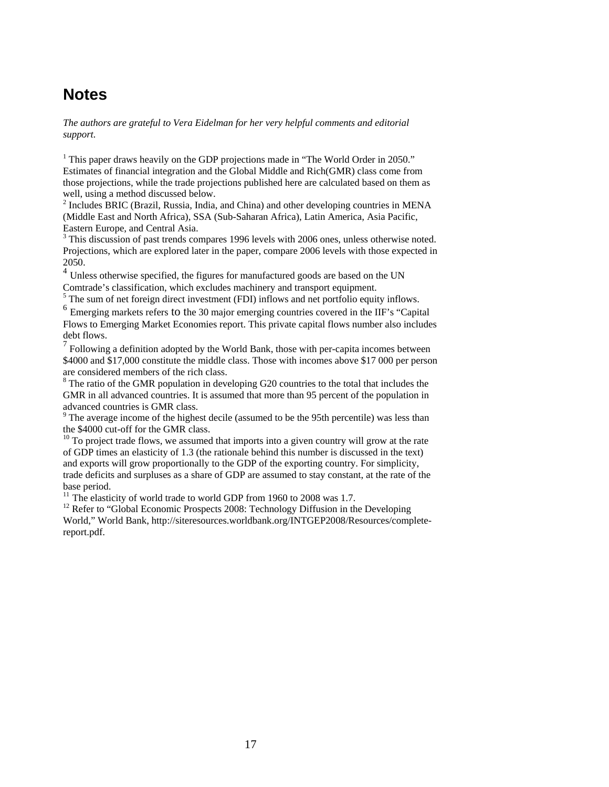### **Notes**

*The authors are grateful to Vera Eidelman for her very helpful comments and editorial support.* 

<sup>1</sup> This paper draws heavily on the GDP projections made in "The World Order in 2050." Estimates of financial integration and the Global Middle and Rich(GMR) class come from those projections, while the trade projections published here are calculated based on them as well, using a method discussed below.

<sup>2</sup> Includes BRIC (Brazil, Russia, India, and China) and other developing countries in MENA (Middle East and North Africa), SSA (Sub-Saharan Africa), Latin America, Asia Pacific, Eastern Europe, and Central Asia.

<sup>3</sup> This discussion of past trends compares 1996 levels with 2006 ones, unless otherwise noted. Projections, which are explored later in the paper, compare 2006 levels with those expected in 2050.

 $4$  Unless otherwise specified, the figures for manufactured goods are based on the UN Comtrade's classification, which excludes machinery and transport equipment.

 $5$  The sum of net foreign direct investment (FDI) inflows and net portfolio equity inflows.

<sup>6</sup> Emerging markets refers to the 30 major emerging countries covered in the IIF's "Capital" Flows to Emerging Market Economies report. This private capital flows number also includes debt flows.

7 Following a definition adopted by the World Bank, those with per-capita incomes between \$4000 and \$17,000 constitute the middle class. Those with incomes above \$17 000 per person are considered members of the rich class.

 $8$  The ratio of the GMR population in developing G20 countries to the total that includes the GMR in all advanced countries. It is assumed that more than 95 percent of the population in advanced countries is GMR class.

<sup>9</sup> The average income of the highest decile (assumed to be the 95th percentile) was less than the \$4000 cut-off for the GMR class.

 $10$  To project trade flows, we assumed that imports into a given country will grow at the rate of GDP times an elasticity of 1.3 (the rationale behind this number is discussed in the text) and exports will grow proportionally to the GDP of the exporting country. For simplicity, trade deficits and surpluses as a share of GDP are assumed to stay constant, at the rate of the base period.<br><sup>11</sup> The elasticity of world trade to world GDP from 1960 to 2008 was 1.7.

<sup>12</sup> Refer to "Global Economic Prospects 2008: Technology Diffusion in the Developing World," World Bank, http://siteresources.worldbank.org/INTGEP2008/Resources/completereport.pdf.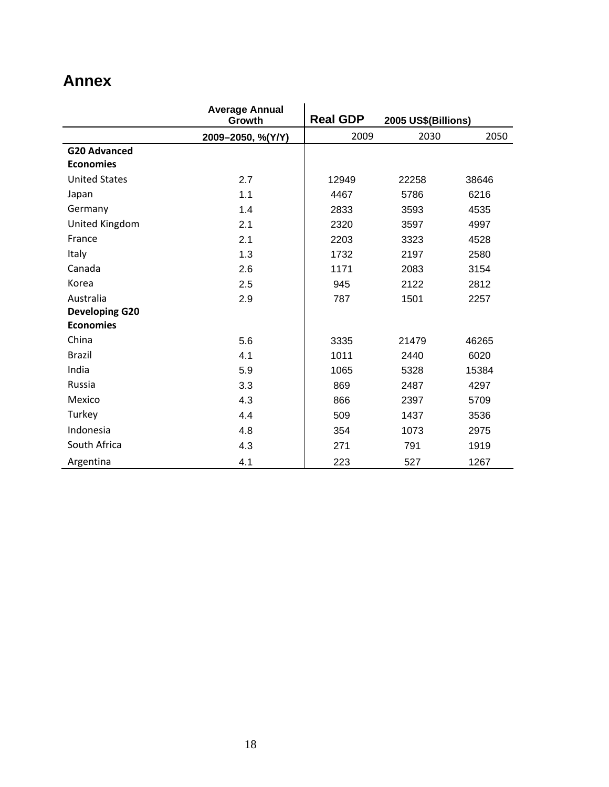# **Annex**

|                       | <b>Average Annual</b><br>Growth | <b>Real GDP</b><br>2005 US\$(Billions) |       |       |
|-----------------------|---------------------------------|----------------------------------------|-------|-------|
|                       | 2009-2050, %(Y/Y)               | 2009                                   | 2030  | 2050  |
| <b>G20 Advanced</b>   |                                 |                                        |       |       |
| <b>Economies</b>      |                                 |                                        |       |       |
| <b>United States</b>  | 2.7                             | 12949                                  | 22258 | 38646 |
| Japan                 | 1.1                             | 4467                                   | 5786  | 6216  |
| Germany               | 1.4                             | 2833                                   | 3593  | 4535  |
| United Kingdom        | 2.1                             | 2320                                   | 3597  | 4997  |
| France                | 2.1                             | 2203                                   | 3323  | 4528  |
| Italy                 | 1.3                             | 1732                                   | 2197  | 2580  |
| Canada                | 2.6                             | 1171                                   | 2083  | 3154  |
| Korea                 | 2.5                             | 945                                    | 2122  | 2812  |
| Australia             | 2.9                             | 787                                    | 1501  | 2257  |
| <b>Developing G20</b> |                                 |                                        |       |       |
| <b>Economies</b>      |                                 |                                        |       |       |
| China                 | 5.6                             | 3335                                   | 21479 | 46265 |
| <b>Brazil</b>         | 4.1                             | 1011                                   | 2440  | 6020  |
| India                 | 5.9                             | 1065                                   | 5328  | 15384 |
| Russia                | 3.3                             | 869                                    | 2487  | 4297  |
| Mexico                | 4.3                             | 866                                    | 2397  | 5709  |
| Turkey                | 4.4                             | 509                                    | 1437  | 3536  |
| Indonesia             | 4.8                             | 354                                    | 1073  | 2975  |
| South Africa          | 4.3                             | 271                                    | 791   | 1919  |
| Argentina             | 4.1                             | 223                                    | 527   | 1267  |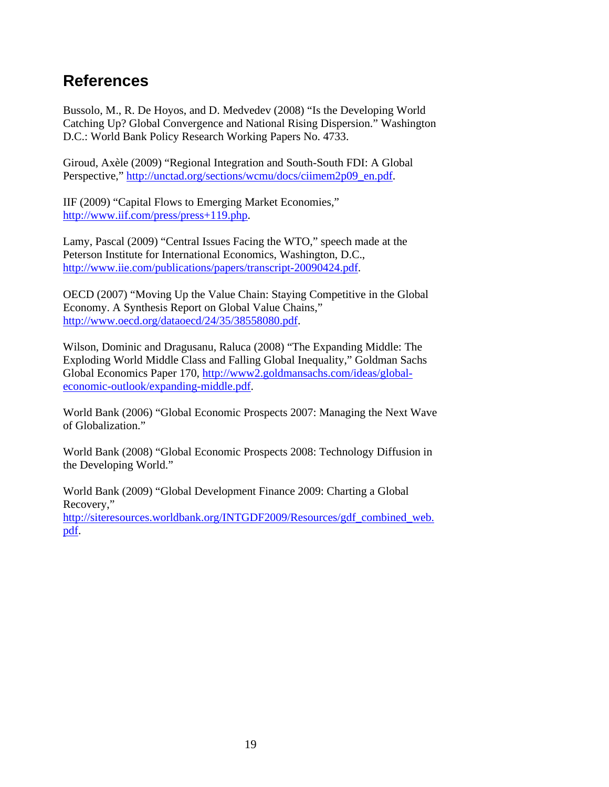## **References**

Bussolo, M., R. De Hoyos, and D. Medvedev (2008) "Is the Developing World Catching Up? Global Convergence and National Rising Dispersion." Washington D.C.: World Bank Policy Research Working Papers No. 4733.

Giroud, Axèle (2009) "Regional Integration and South-South FDI: A Global Perspective," http://unctad.org/sections/wcmu/docs/ciimem2p09\_en.pdf.

IIF (2009) "Capital Flows to Emerging Market Economies," http://www.iif.com/press/press+119.php.

Lamy, Pascal (2009) "Central Issues Facing the WTO," speech made at the Peterson Institute for International Economics, Washington, D.C., http://www.iie.com/publications/papers/transcript-20090424.pdf.

OECD (2007) "Moving Up the Value Chain: Staying Competitive in the Global Economy. A Synthesis Report on Global Value Chains," http://www.oecd.org/dataoecd/24/35/38558080.pdf.

Wilson, Dominic and Dragusanu, Raluca (2008) "The Expanding Middle: The Exploding World Middle Class and Falling Global Inequality," Goldman Sachs Global Economics Paper 170, http://www2.goldmansachs.com/ideas/globaleconomic-outlook/expanding-middle.pdf.

World Bank (2006) "Global Economic Prospects 2007: Managing the Next Wave of Globalization."

World Bank (2008) "Global Economic Prospects 2008: Technology Diffusion in the Developing World."

World Bank (2009) "Global Development Finance 2009: Charting a Global Recovery,"

http://siteresources.worldbank.org/INTGDF2009/Resources/gdf\_combined\_web. pdf.